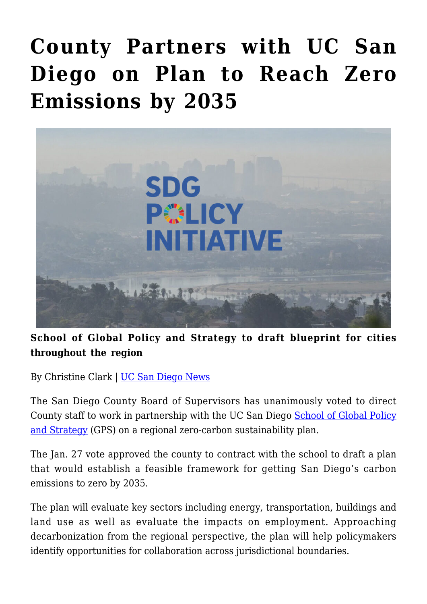## **[County Partners with UC San](https://gpsnews.ucsd.edu/county-partners-with-uc-san-diego-on-plan-to-reach-zero-emissions-by-2035/) [Diego on Plan to Reach Zero](https://gpsnews.ucsd.edu/county-partners-with-uc-san-diego-on-plan-to-reach-zero-emissions-by-2035/) [Emissions by 2035](https://gpsnews.ucsd.edu/county-partners-with-uc-san-diego-on-plan-to-reach-zero-emissions-by-2035/)**



**School of Global Policy and Strategy to draft blueprint for cities throughout the region**

By Christine Clark | [UC San Diego News](https://ucsdnews.ucsd.edu/pressrelease/county-partners-with-uc-san-diego-on-plan-to-reach-zero-emissions-by-2035)

The San Diego County Board of Supervisors has unanimously voted to direct County staff to work in partnership with the UC San Diego [School of Global Policy](https://gps.ucsd.edu/) [and Strategy](https://gps.ucsd.edu/) (GPS) on a regional zero-carbon sustainability plan.

The Jan. 27 vote approved the county to contract with the school to draft a plan that would establish a feasible framework for getting San Diego's carbon emissions to zero by 2035.

The plan will evaluate key sectors including energy, transportation, buildings and land use as well as evaluate the impacts on employment. Approaching decarbonization from the regional perspective, the plan will help policymakers identify opportunities for collaboration across jurisdictional boundaries.